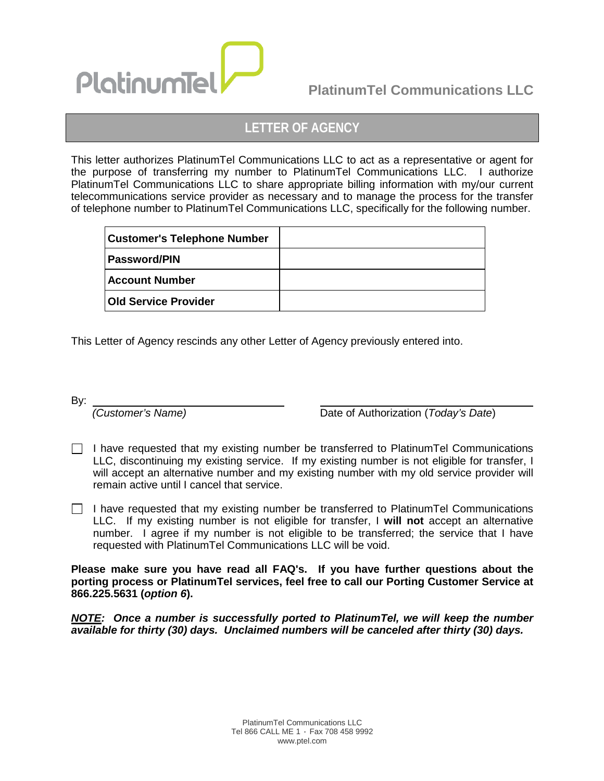

# **PlatinumTel Communications LLC**

## **LETTER OF AGENCY**

This letter authorizes PlatinumTel Communications LLC to act as a representative or agent for the purpose of transferring my number to PlatinumTel Communications LLC. I authorize PlatinumTel Communications LLC to share appropriate billing information with my/our current telecommunications service provider as necessary and to manage the process for the transfer of telephone number to PlatinumTel Communications LLC, specifically for the following number.

| <b>Customer's Telephone Number</b> |  |
|------------------------------------|--|
| Password/PIN                       |  |
| <b>Account Number</b>              |  |
| <b>Old Service Provider</b>        |  |

This Letter of Agency rescinds any other Letter of Agency previously entered into.

By:

 *(Customer's Name)* Date of Authorization (*Today's Date*)

- $\Box$  I have requested that my existing number be transferred to PlatinumTel Communications LLC, discontinuing my existing service. If my existing number is not eligible for transfer, I will accept an alternative number and my existing number with my old service provider will remain active until I cancel that service.
- $\Box$  I have requested that my existing number be transferred to PlatinumTel Communications LLC. If my existing number is not eligible for transfer, I **will not** accept an alternative number. I agree if my number is not eligible to be transferred; the service that I have requested with PlatinumTel Communications LLC will be void.

**Please make sure you have read all FAQ's. If you have further questions about the porting process or PlatinumTel services, feel free to call our Porting Customer Service at 866.225.5631 (***option 6***).**

*NOTE: Once a number is successfully ported to PlatinumTel, we will keep the number available for thirty (30) days. Unclaimed numbers will be canceled after thirty (30) days.*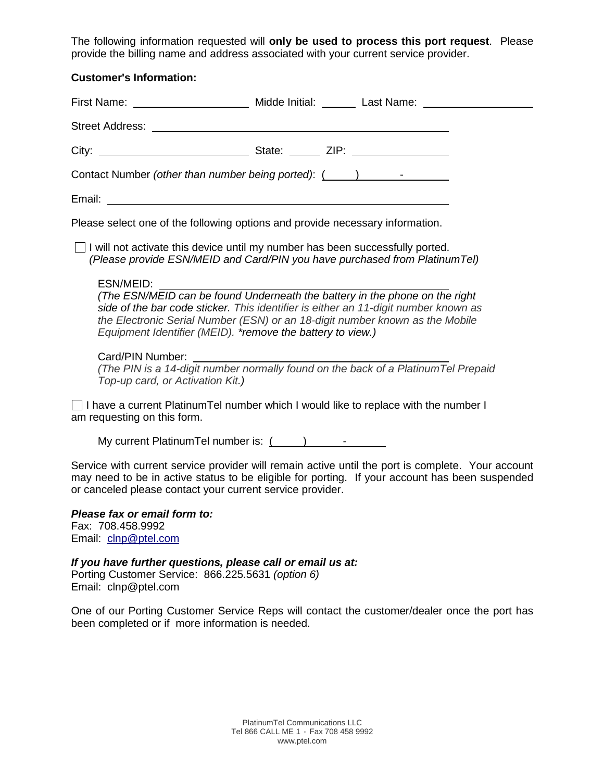The following information requested will **only be used to process this port request**. Please provide the billing name and address associated with your current service provider.

#### **Customer's Information:**

| First Name: <u>___________________</u> | Midde Initial: Last Name: Last Name: |  |
|----------------------------------------|--------------------------------------|--|
|                                        |                                      |  |
|                                        | State: $ZIP:$                        |  |
|                                        |                                      |  |
| Email:                                 |                                      |  |

Please select one of the following options and provide necessary information.

 $\Box$  I will not activate this device until my number has been successfully ported.  *(Please provide ESN/MEID and Card/PIN you have purchased from PlatinumTel)*

#### ESN/MEID:

*(The ESN/MEID can be found Underneath the battery in the phone on the right side of the bar code sticker. This identifier is either an 11-digit number known as the Electronic Serial Number (ESN) or an 18-digit number known as the Mobile Equipment Identifier (MEID). \*remove the battery to view.)*

#### Card/PIN Number:

*(The PIN is a 14-digit number normally found on the back of a PlatinumTel Prepaid Top-up card, or Activation Kit.)*

 $\Box$  I have a current PlatinumTel number which I would like to replace with the number I am requesting on this form.

My current PlatinumTel number is:  $($ 

Service with current service provider will remain active until the port is complete. Your account may need to be in active status to be eligible for porting. If your account has been suspended or canceled please contact your current service provider.

## *Please fax or email form to:*

Fax: 708.458.9992 Email: [clnp@ptel.com](mailto:clnp@ptel.com)

*If you have further questions, please call or email us at:* Porting Customer Service: 866.225.5631 *(option 6)* Email: clnp@ptel.com

One of our Porting Customer Service Reps will contact the customer/dealer once the port has been completed or if more information is needed.